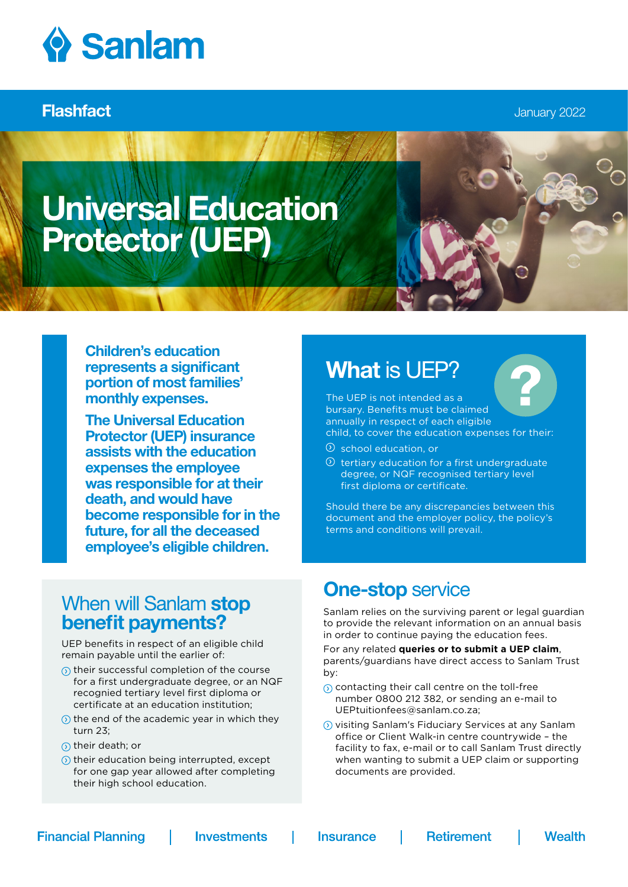

Flashfact January 2022

# Universal Education Protector (UEP)

Children's education represents a significant portion of most families' monthly expenses.

The Universal Education Protector (UEP) insurance assists with the education expenses the employee was responsible for at their death, and would have become responsible for in the future, for all the deceased employee's eligible children.

## When will Sanlam stop benefit payments?

UEP benefits in respect of an eligible child remain payable until the earlier of:

- $\odot$  their successful completion of the course for a first undergraduate degree, or an NQF recognied tertiary level first diploma or certificate at an education institution;
- $\odot$  the end of the academic year in which they turn 23;
- $\circ$  their death; or
- $\circledR$  their education being interrupted, except for one gap year allowed after completing their high school education.

## What is UEP?

The UEP is not intended as a bursary. Benefits must be claimed annually in respect of each eligible child, to cover the education expenses for their:

- school education, or
- $\odot$  tertiary education for a first undergraduate degree, or NQF recognised tertiary level first diploma or certificate.

Should there be any discrepancies between this document and the employer policy, the policy's terms and conditions will prevail.

## **One-stop service**

Sanlam relies on the surviving parent or legal guardian to provide the relevant information on an annual basis in order to continue paying the education fees.

For any related **queries or to submit a UEP claim**, parents/guardians have direct access to Sanlam Trust by:

- $\odot$  contacting their call centre on the toll-free number 0800 212 382, or sending an e-mail to UEPtuitionfees@sanlam.co.za;
- visiting Sanlam's Fiduciary Services at any Sanlam office or Client Walk-in centre countrywide – the facility to fax, e-mail or to call Sanlam Trust directly when wanting to submit a UEP claim or supporting documents are provided.

**Financial Planning** 

**Investments** 

**Insurance**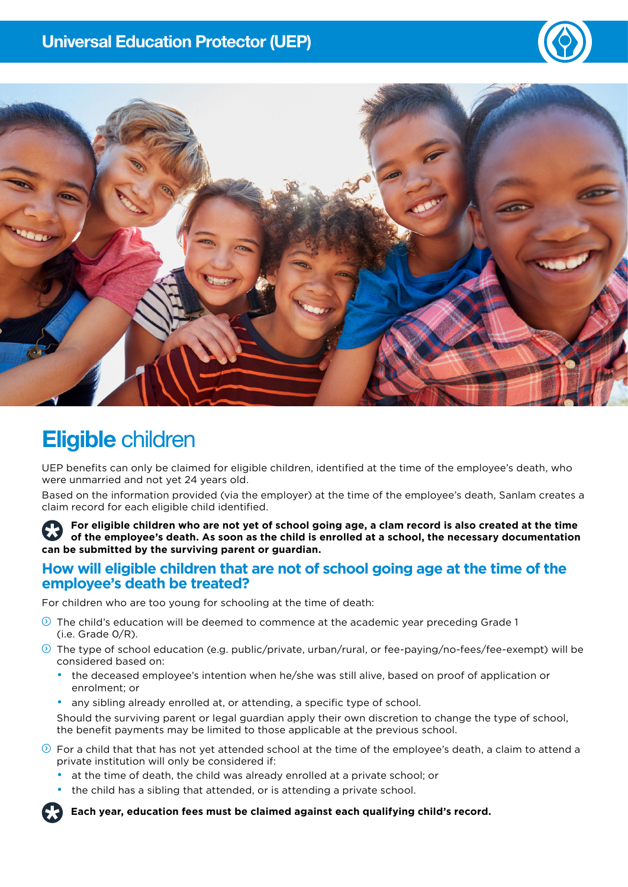



## Eligible children

UEP benefits can only be claimed for eligible children, identified at the time of the employee's death, who were unmarried and not yet 24 years old.

Based on the information provided (via the employer) at the time of the employee's death, Sanlam creates a claim record for each eligible child identified.

**For eligible children who are not yet of school going age, a clam record is also created at the time of the employee's death. As soon as the child is enrolled at a school, the necessary documentation can be submitted by the surviving parent or guardian.**

#### **How will eligible children that are not of school going age at the time of the employee's death be treated?**

For children who are too young for schooling at the time of death:

- $\circledcirc$  The child's education will be deemed to commence at the academic year preceding Grade 1  $(i.e.$  Grade  $0/R$ ).
- $\circledcirc$  The type of school education (e.g. public/private, urban/rural, or fee-paying/no-fees/fee-exempt) will be considered based on:
	- the deceased employee's intention when he/she was still alive, based on proof of application or enrolment; or
	- any sibling already enrolled at, or attending, a specific type of school.

Should the surviving parent or legal guardian apply their own discretion to change the type of school, the benefit payments may be limited to those applicable at the previous school.

- $\odot$  For a child that that has not yet attended school at the time of the employee's death, a claim to attend a private institution will only be considered if:
	- at the time of death, the child was already enrolled at a private school; or
	- the child has a sibling that attended, or is attending a private school.

**Each year, education fees must be claimed against each qualifying child's record.**

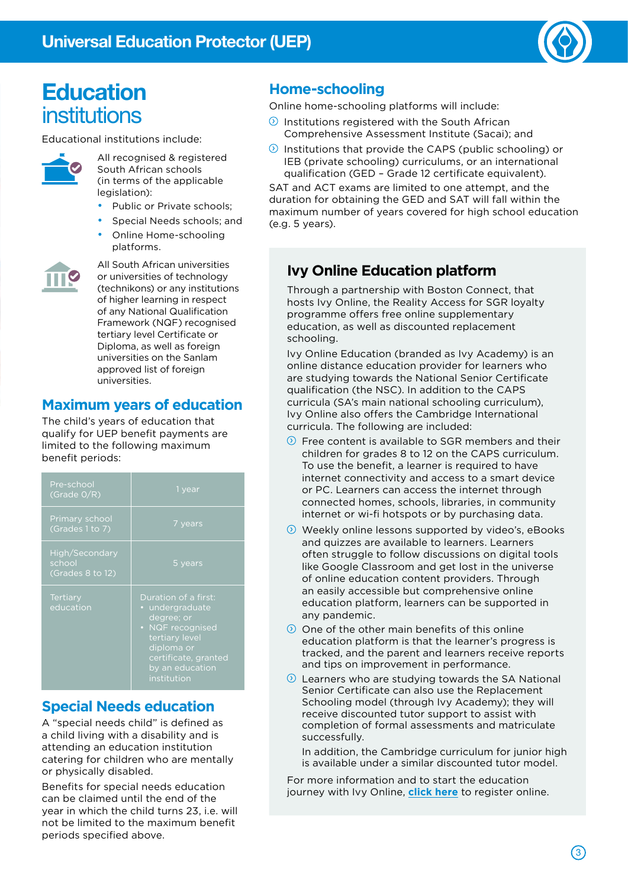

## **Education** institutions

Educational institutions include:



All recognised & registered South African schools (in terms of the applicable legislation):

- Public or Private schools;
- Special Needs schools; and
- Online Home-schooling

platforms.



All South African universities or universities of technology (technikons) or any institutions of higher learning in respect of any National Qualification Framework (NQF) recognised tertiary level Certificate or Diploma, as well as foreign universities on the Sanlam approved list of foreign universities.

### **Maximum years of education**

The child's years of education that qualify for UEP benefit payments are limited to the following maximum benefit periods:

| Pre-school<br>(Grade $0/R$ )                 | 1 year                                                                                                                                                              |  |  |
|----------------------------------------------|---------------------------------------------------------------------------------------------------------------------------------------------------------------------|--|--|
| Primary school<br>(Grades 1 to 7)            | 7 years                                                                                                                                                             |  |  |
| High/Secondary<br>school<br>(Grades 8 to 12) | 5 years                                                                                                                                                             |  |  |
| <b>Tertiary</b><br>education                 | Duration of a first:<br>• undergraduate<br>degree; or<br>• NQF recognised<br>tertiary level<br>diploma or<br>certificate, granted<br>by an education<br>institution |  |  |

### **Special Needs education**

A "special needs child" is defined as a child living with a disability and is attending an education institution catering for children who are mentally or physically disabled.

Benefits for special needs education can be claimed until the end of the year in which the child turns 23, i.e. will not be limited to the maximum benefit periods specified above.

## **Home-schooling**

Online home-schooling platforms will include:

- $\circled{0}$  Institutions registered with the South African Comprehensive Assessment Institute (Sacai); and
- $\circledR$  Institutions that provide the CAPS (public schooling) or IEB (private schooling) curriculums, or an international qualification (GED – Grade 12 certificate equivalent).

SAT and ACT exams are limited to one attempt, and the duration for obtaining the GED and SAT will fall within the maximum number of years covered for high school education (e.g. 5 years).

## **Ivy Online Education platform**

Through a partnership with Boston Connect, that hosts Ivy Online, the Reality Access for SGR loyalty programme offers free online supplementary education, as well as discounted replacement schooling.

Ivy Online Education (branded as Ivy Academy) is an online distance education provider for learners who are studying towards the National Senior Certificate qualification (the NSC). In addition to the CAPS curricula (SA's main national schooling curriculum), Ivy Online also offers the Cambridge International curricula. The following are included:

- $\circled{2}$  Free content is available to SGR members and their children for grades 8 to 12 on the CAPS curriculum. To use the benefit, a learner is required to have internet connectivity and access to a smart device or PC. Learners can access the internet through connected homes, schools, libraries, in community internet or wi-fi hotspots or by purchasing data.
- $\odot$  Weekly online lessons supported by video's, eBooks and quizzes are available to learners. Learners often struggle to follow discussions on digital tools like Google Classroom and get lost in the universe of online education content providers. Through an easily accessible but comprehensive online education platform, learners can be supported in any pandemic.
- $\odot$  One of the other main benefits of this online education platform is that the learner's progress is tracked, and the parent and learners receive reports and tips on improvement in performance.
- $\circled{2}$  Learners who are studying towards the SA National Senior Certificate can also use the Replacement Schooling model (through Ivy Academy); they will receive discounted tutor support to assist with completion of formal assessments and matriculate successfully.

In addition, the Cambridge curriculum for junior high is available under a similar discounted tutor model.

For more information and to start the education journey with Ivy Online, **[click here](https://www.sanlamreality.co.za/benefit/ivy-online/)** to register online.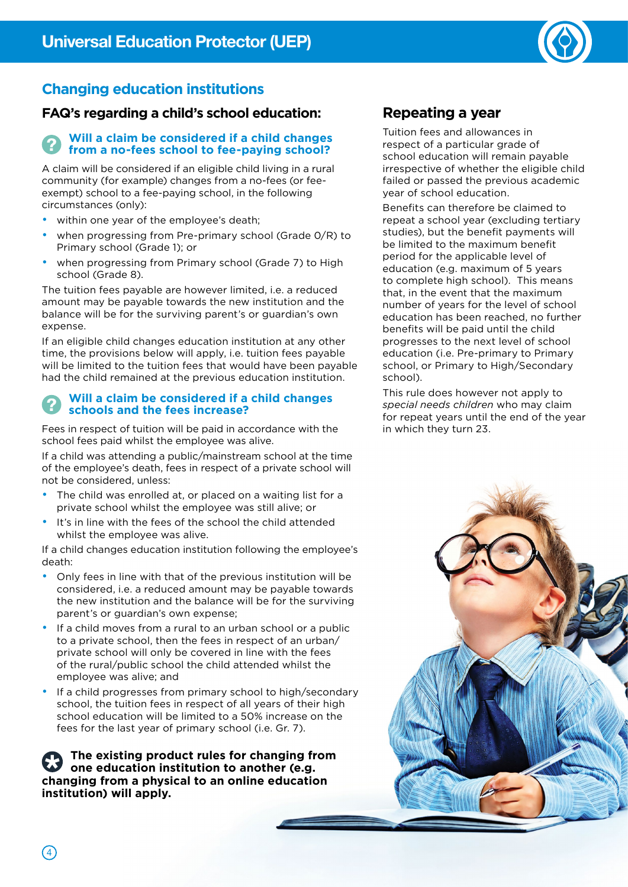

## **Changing education institutions**

### **FAQ's regarding a child's school education:**

#### **Will a claim be considered if a child changes from a no-fees school to fee-paying school?**

A claim will be considered if an eligible child living in a rural community (for example) changes from a no-fees (or feeexempt) school to a fee-paying school, in the following circumstances (only):

- within one year of the employee's death;
- when progressing from Pre-primary school (Grade 0/R) to Primary school (Grade 1); or
- when progressing from Primary school (Grade 7) to High school (Grade 8).

The tuition fees payable are however limited, i.e. a reduced amount may be payable towards the new institution and the balance will be for the surviving parent's or guardian's own expense.

If an eligible child changes education institution at any other time, the provisions below will apply, i.e. tuition fees payable will be limited to the tuition fees that would have been payable had the child remained at the previous education institution.

#### **Will a claim be considered if a child changes schools and the fees increase?**

Fees in respect of tuition will be paid in accordance with the school fees paid whilst the employee was alive.

If a child was attending a public/mainstream school at the time of the employee's death, fees in respect of a private school will not be considered, unless:

- The child was enrolled at, or placed on a waiting list for a private school whilst the employee was still alive; or
- It's in line with the fees of the school the child attended whilst the employee was alive.

If a child changes education institution following the employee's death:

- Only fees in line with that of the previous institution will be considered, i.e. a reduced amount may be payable towards the new institution and the balance will be for the surviving parent's or guardian's own expense;
- If a child moves from a rural to an urban school or a public to a private school, then the fees in respect of an urban/ private school will only be covered in line with the fees of the rural/public school the child attended whilst the employee was alive; and
- If a child progresses from primary school to high/secondary school, the tuition fees in respect of all years of their high school education will be limited to a 50% increase on the fees for the last year of primary school (i.e. Gr. 7).

**The existing product rules for changing from one education institution to another (e.g. changing from a physical to an online education institution) will apply.**

## **Repeating a year**

Tuition fees and allowances in respect of a particular grade of school education will remain payable irrespective of whether the eligible child failed or passed the previous academic year of school education.

Benefits can therefore be claimed to repeat a school year (excluding tertiary studies), but the benefit payments will be limited to the maximum benefit period for the applicable level of education (e.g. maximum of 5 years to complete high school). This means that, in the event that the maximum number of years for the level of school education has been reached, no further benefits will be paid until the child progresses to the next level of school education (i.e. Pre-primary to Primary school, or Primary to High/Secondary school).

This rule does however not apply to *special needs children* who may claim for repeat years until the end of the year in which they turn 23.

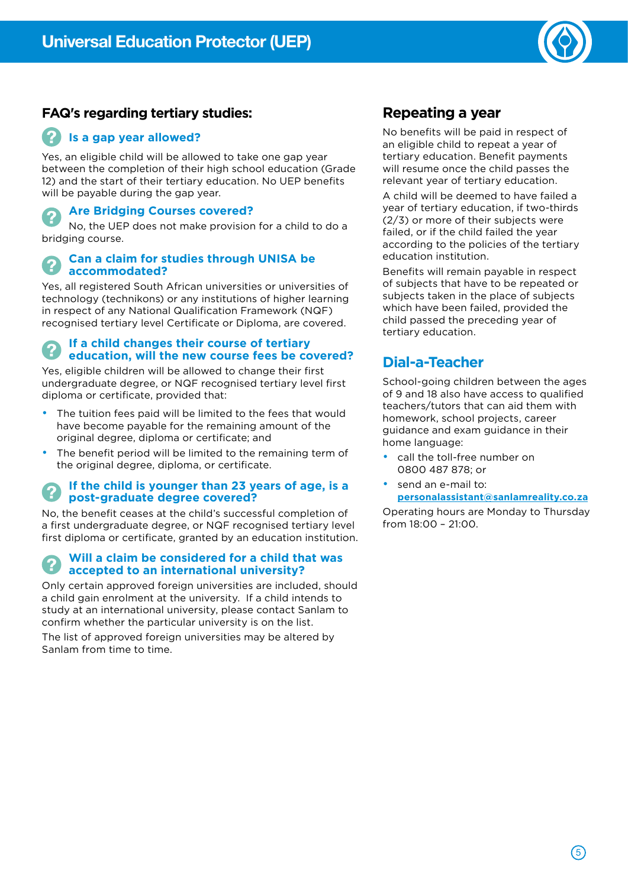

#### **FAQ's regarding tertiary studies:**

#### **Is a gap year allowed?**

Yes, an eligible child will be allowed to take one gap year between the completion of their high school education (Grade 12) and the start of their tertiary education. No UEP benefits will be payable during the gap year.

#### **Are Bridging Courses covered?**

No, the UEP does not make provision for a child to do a bridging course.

#### **Can a claim for studies through UNISA be accommodated?**

Yes, all registered South African universities or universities of technology (technikons) or any institutions of higher learning in respect of any National Qualification Framework (NQF) recognised tertiary level Certificate or Diploma, are covered.

#### **If a child changes their course of tertiary education, will the new course fees be covered?**

Yes, eligible children will be allowed to change their first undergraduate degree, or NQF recognised tertiary level first diploma or certificate, provided that:

- The tuition fees paid will be limited to the fees that would have become payable for the remaining amount of the original degree, diploma or certificate; and
- The benefit period will be limited to the remaining term of the original degree, diploma, or certificate.

#### **If the child is younger than 23 years of age, is a post-graduate degree covered?**

No, the benefit ceases at the child's successful completion of a first undergraduate degree, or NQF recognised tertiary level first diploma or certificate, granted by an education institution.

#### **Will a claim be considered for a child that was accepted to an international university?**

Only certain approved foreign universities are included, should a child gain enrolment at the university. If a child intends to study at an international university, please contact Sanlam to confirm whether the particular university is on the list.

The list of approved foreign universities may be altered by Sanlam from time to time.

### **Repeating a year**

No benefits will be paid in respect of an eligible child to repeat a year of tertiary education. Benefit payments will resume once the child passes the relevant year of tertiary education.

A child will be deemed to have failed a year of tertiary education, if two-thirds (2/3) or more of their subjects were failed, or if the child failed the year according to the policies of the tertiary education institution.

Benefits will remain payable in respect of subjects that have to be repeated or subjects taken in the place of subjects which have been failed, provided the child passed the preceding year of tertiary education.

### **Dial-a-Teacher**

School-going children between the ages of 9 and 18 also have access to qualified teachers/tutors that can aid them with homework, school projects, career guidance and exam guidance in their home language:

- call the toll-free number on 0800 487 878; or
- send an e-mail to: **personalassistant@sanlamreality.co.za**

Operating hours are Monday to Thursday from 18:00 – 21:00.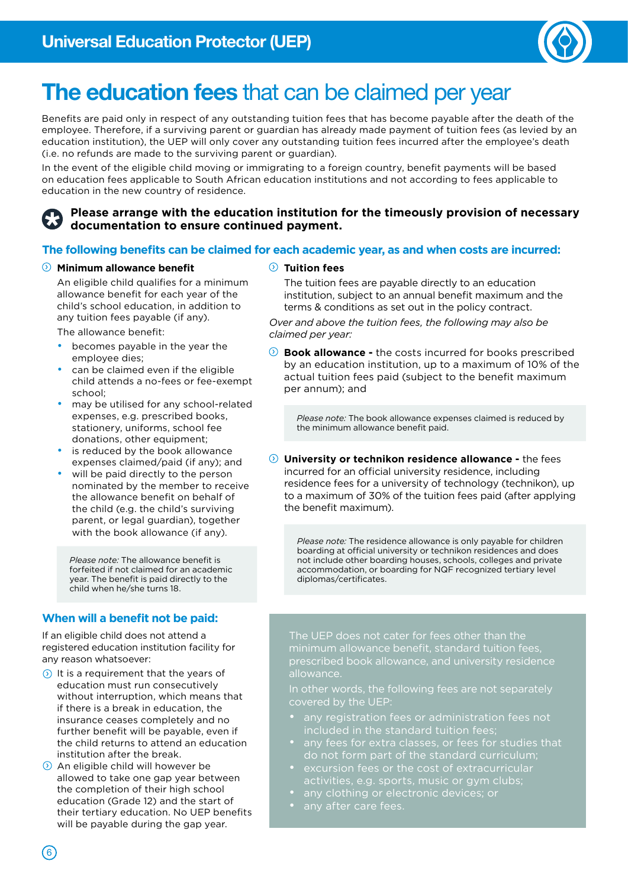

## The education fees that can be claimed per year

Benefits are paid only in respect of any outstanding tuition fees that has become payable after the death of the employee. Therefore, if a surviving parent or guardian has already made payment of tuition fees (as levied by an education institution), the UEP will only cover any outstanding tuition fees incurred after the employee's death (i.e. no refunds are made to the surviving parent or guardian).

In the event of the eligible child moving or immigrating to a foreign country, benefit payments will be based on education fees applicable to South African education institutions and not according to fees applicable to education in the new country of residence.

#### **Please arrange with the education institution for the timeously provision of necessary documentation to ensure continued payment.**

#### **The following benefits can be claimed for each academic year, as and when costs are incurred:**

#### **Minimum allowance benefit**

An eligible child qualifies for a minimum allowance benefit for each year of the child's school education, in addition to any tuition fees payable (if any).

The allowance benefit:

- becomes payable in the year the employee dies;
- can be claimed even if the eligible child attends a no-fees or fee-exempt school;
- may be utilised for any school-related expenses, e.g. prescribed books, stationery, uniforms, school fee donations, other equipment;
- is reduced by the book allowance expenses claimed/paid (if any); and
- will be paid directly to the person nominated by the member to receive the allowance benefit on behalf of the child (e.g. the child's surviving parent, or legal guardian), together with the book allowance (if any).

*Please note:* The allowance benefit is forfeited if not claimed for an academic year. The benefit is paid directly to the child when he/she turns 18.

#### **When will a benefit not be paid:**

If an eligible child does not attend a registered education institution facility for any reason whatsoever:

- $\odot$  It is a requirement that the years of education must run consecutively without interruption, which means that if there is a break in education, the insurance ceases completely and no further benefit will be payable, even if the child returns to attend an education institution after the break.
- $\odot$  An eligible child will however be allowed to take one gap year between the completion of their high school education (Grade 12) and the start of their tertiary education. No UEP benefits will be payable during the gap year.

#### **Tuition fees**

The tuition fees are payable directly to an education institution, subject to an annual benefit maximum and the terms & conditions as set out in the policy contract.

*Over and above the tuition fees, the following may also be claimed per year:*

**Book allowance -** the costs incurred for books prescribed by an education institution, up to a maximum of 10% of the actual tuition fees paid (subject to the benefit maximum per annum); and

*Please note:* The book allowance expenses claimed is reduced by the minimum allowance benefit paid.

**University or technikon residence allowance -** the fees incurred for an official university residence, including residence fees for a university of technology (technikon), up to a maximum of 30% of the tuition fees paid (after applying the benefit maximum).

*Please note:* The residence allowance is only payable for children boarding at official university or technikon residences and does not include other boarding houses, schools, colleges and private accommodation, or boarding for NQF recognized tertiary level diplomas/certificates.

The UEP does not cater for fees other than the minimum allowance benefit, standard tuition fees, prescribed book allowance, and university residence

In other words, the following fees are not separately covered by the UEP:

- any registration fees or administration fees not included in the standard tuition fees;
- any fees for extra classes, or fees for studies that do not form part of the standard curriculum;
- - any clothing or electronic devices; or
- any after care fees.